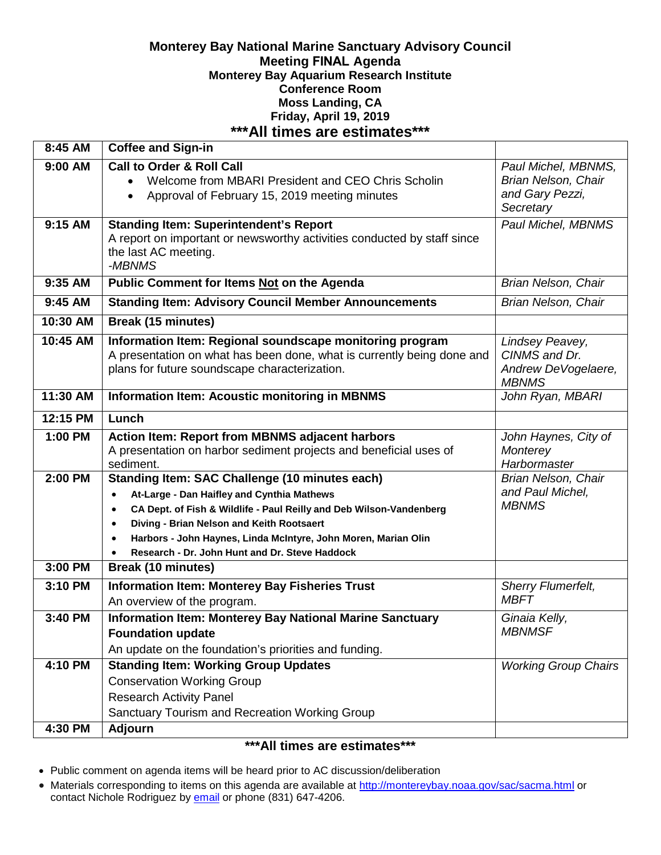### **Monterey Bay National Marine Sanctuary Advisory Council Meeting FINAL Agenda Monterey Bay Aquarium Research Institute Conference Room Moss Landing, CA Friday, April 19, 2019 \*\*\*All times are estimates\*\*\***

| 8:45 AM   | <b>Coffee and Sign-in</b>                                                                                                                                                                                                                                                                                                                                                                |                                                                                   |
|-----------|------------------------------------------------------------------------------------------------------------------------------------------------------------------------------------------------------------------------------------------------------------------------------------------------------------------------------------------------------------------------------------------|-----------------------------------------------------------------------------------|
| 9:00 AM   | <b>Call to Order &amp; Roll Call</b><br>Welcome from MBARI President and CEO Chris Scholin<br>Approval of February 15, 2019 meeting minutes<br>$\bullet$                                                                                                                                                                                                                                 | Paul Michel, MBNMS,<br><b>Brian Nelson, Chair</b><br>and Gary Pezzi,<br>Secretary |
| 9:15 AM   | <b>Standing Item: Superintendent's Report</b><br>A report on important or newsworthy activities conducted by staff since<br>the last AC meeting.<br>-MBNMS                                                                                                                                                                                                                               | Paul Michel, MBNMS                                                                |
| 9:35 AM   | <b>Public Comment for Items Not on the Agenda</b>                                                                                                                                                                                                                                                                                                                                        | Brian Nelson, Chair                                                               |
| $9:45$ AM | <b>Standing Item: Advisory Council Member Announcements</b>                                                                                                                                                                                                                                                                                                                              | <b>Brian Nelson, Chair</b>                                                        |
| 10:30 AM  | <b>Break (15 minutes)</b>                                                                                                                                                                                                                                                                                                                                                                |                                                                                   |
| 10:45 AM  | Information Item: Regional soundscape monitoring program<br>A presentation on what has been done, what is currently being done and<br>plans for future soundscape characterization.                                                                                                                                                                                                      | Lindsey Peavey,<br>CINMS and Dr.<br>Andrew DeVogelaere,<br><b>MBNMS</b>           |
| 11:30 AM  | <b>Information Item: Acoustic monitoring in MBNMS</b>                                                                                                                                                                                                                                                                                                                                    | John Ryan, MBARI                                                                  |
| 12:15 PM  | Lunch                                                                                                                                                                                                                                                                                                                                                                                    |                                                                                   |
| 1:00 PM   | <b>Action Item: Report from MBNMS adjacent harbors</b><br>A presentation on harbor sediment projects and beneficial uses of<br>sediment.                                                                                                                                                                                                                                                 | John Haynes, City of<br>Monterey<br>Harbormaster                                  |
| 2:00 PM   | Standing Item: SAC Challenge (10 minutes each)<br>At-Large - Dan Haifley and Cynthia Mathews<br>$\bullet$<br>CA Dept. of Fish & Wildlife - Paul Reilly and Deb Wilson-Vandenberg<br>$\bullet$<br>Diving - Brian Nelson and Keith Rootsaert<br>$\bullet$<br>Harbors - John Haynes, Linda McIntyre, John Moren, Marian Olin<br>$\bullet$<br>Research - Dr. John Hunt and Dr. Steve Haddock | <b>Brian Nelson, Chair</b><br>and Paul Michel,<br><b>MBNMS</b>                    |
| 3:00 PM   | <b>Break (10 minutes)</b>                                                                                                                                                                                                                                                                                                                                                                |                                                                                   |
| 3:10 PM   | <b>Information Item: Monterey Bay Fisheries Trust</b><br>An overview of the program.                                                                                                                                                                                                                                                                                                     | Sherry Flumerfelt,<br><b>MBFT</b>                                                 |
| 3:40 PM   | <b>Information Item: Monterey Bay National Marine Sanctuary</b><br><b>Foundation update</b><br>An update on the foundation's priorities and funding.                                                                                                                                                                                                                                     | Ginaia Kelly,<br><b>MBNMSF</b>                                                    |
| 4:10 PM   | <b>Standing Item: Working Group Updates</b><br><b>Conservation Working Group</b><br><b>Research Activity Panel</b><br>Sanctuary Tourism and Recreation Working Group                                                                                                                                                                                                                     | <b>Working Group Chairs</b>                                                       |
| 4:30 PM   | <b>Adjourn</b>                                                                                                                                                                                                                                                                                                                                                                           |                                                                                   |

# **\*\*\*All times are estimates\*\*\***

- Public comment on agenda items will be heard prior to AC discussion/deliberation
- Materials corresponding to items on this agenda are available at<http://montereybay.noaa.gov/sac/sacma.html> or contact Nichole Rodriguez by **email** or phone (831) 647-4206.